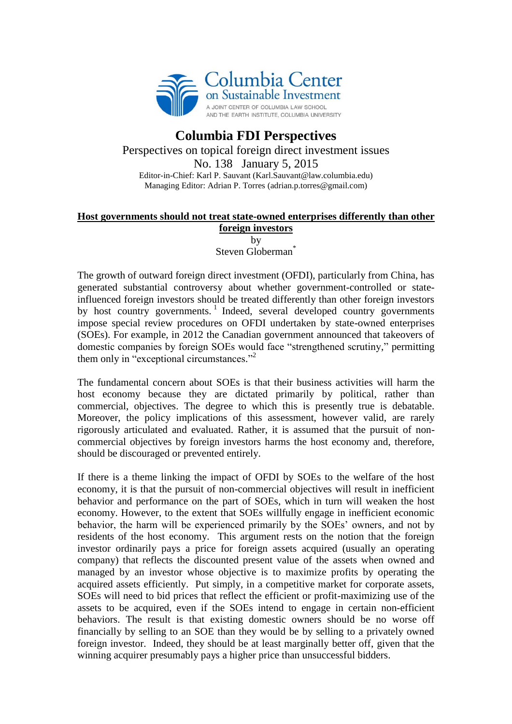

## **Columbia FDI Perspectives** Perspectives on topical foreign direct investment issues No. 138 January 5, 2015 Editor-in-Chief: Karl P. Sauvant (Karl.Sauvant@law.columbia.edu) Managing Editor: Adrian P. Torres (adrian.p.torres@gmail.com)

## **Host governments should not treat state-owned enterprises differently than other foreign investors**

by Steven Globerman<sup>\*</sup>

The growth of outward foreign direct investment (OFDI), particularly from China, has generated substantial controversy about whether government-controlled or stateinfluenced foreign investors should be treated differently than other foreign investors by host country governments.<sup>1</sup> Indeed, several developed country governments impose special review procedures on OFDI undertaken by state-owned enterprises (SOEs). For example, in 2012 the Canadian government announced that takeovers of domestic companies by foreign SOEs would face "strengthened scrutiny," permitting them only in "exceptional circumstances."<sup>2</sup>

The fundamental concern about SOEs is that their business activities will harm the host economy because they are dictated primarily by political, rather than commercial, objectives. The degree to which this is presently true is debatable. Moreover, the policy implications of this assessment, however valid, are rarely rigorously articulated and evaluated. Rather, it is assumed that the pursuit of noncommercial objectives by foreign investors harms the host economy and, therefore, should be discouraged or prevented entirely.

If there is a theme linking the impact of OFDI by SOEs to the welfare of the host economy, it is that the pursuit of non-commercial objectives will result in inefficient behavior and performance on the part of SOEs, which in turn will weaken the host economy. However, to the extent that SOEs willfully engage in inefficient economic behavior, the harm will be experienced primarily by the SOEs' owners, and not by residents of the host economy. This argument rests on the notion that the foreign investor ordinarily pays a price for foreign assets acquired (usually an operating company) that reflects the discounted present value of the assets when owned and managed by an investor whose objective is to maximize profits by operating the acquired assets efficiently. Put simply, in a competitive market for corporate assets, SOEs will need to bid prices that reflect the efficient or profit-maximizing use of the assets to be acquired, even if the SOEs intend to engage in certain non-efficient behaviors. The result is that existing domestic owners should be no worse off financially by selling to an SOE than they would be by selling to a privately owned foreign investor. Indeed, they should be at least marginally better off, given that the winning acquirer presumably pays a higher price than unsuccessful bidders.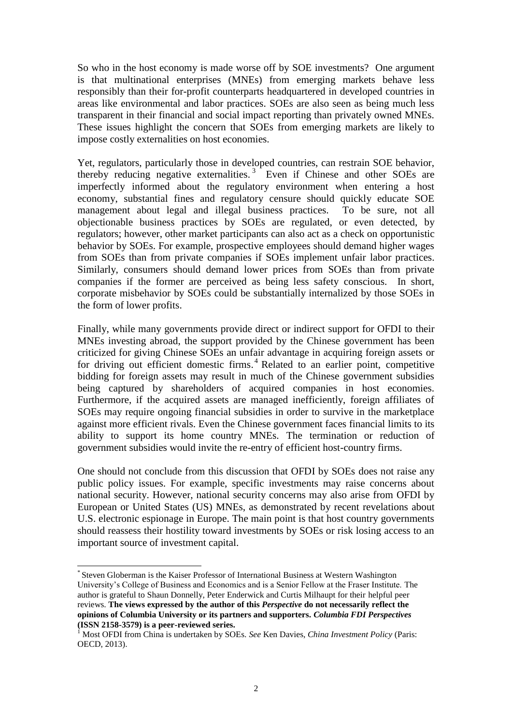So who in the host economy is made worse off by SOE investments? One argument is that multinational enterprises (MNEs) from emerging markets behave less responsibly than their for-profit counterparts headquartered in developed countries in areas like environmental and labor practices. SOEs are also seen as being much less transparent in their financial and social impact reporting than privately owned MNEs. These issues highlight the concern that SOEs from emerging markets are likely to impose costly externalities on host economies.

Yet, regulators, particularly those in developed countries, can restrain SOE behavior, thereby reducing negative externalities.<sup>3</sup> Even if Chinese and other SOEs are imperfectly informed about the regulatory environment when entering a host economy, substantial fines and regulatory censure should quickly educate SOE management about legal and illegal business practices. To be sure, not all objectionable business practices by SOEs are regulated, or even detected, by regulators; however, other market participants can also act as a check on opportunistic behavior by SOEs. For example, prospective employees should demand higher wages from SOEs than from private companies if SOEs implement unfair labor practices. Similarly, consumers should demand lower prices from SOEs than from private companies if the former are perceived as being less safety conscious. In short, corporate misbehavior by SOEs could be substantially internalized by those SOEs in the form of lower profits.

Finally, while many governments provide direct or indirect support for OFDI to their MNEs investing abroad, the support provided by the Chinese government has been criticized for giving Chinese SOEs an unfair advantage in acquiring foreign assets or for driving out efficient domestic firms. <sup>4</sup> Related to an earlier point, competitive bidding for foreign assets may result in much of the Chinese government subsidies being captured by shareholders of acquired companies in host economies. Furthermore, if the acquired assets are managed inefficiently, foreign affiliates of SOEs may require ongoing financial subsidies in order to survive in the marketplace against more efficient rivals. Even the Chinese government faces financial limits to its ability to support its home country MNEs. The termination or reduction of government subsidies would invite the re-entry of efficient host-country firms.

One should not conclude from this discussion that OFDI by SOEs does not raise any public policy issues. For example, specific investments may raise concerns about national security. However, national security concerns may also arise from OFDI by European or United States (US) MNEs, as demonstrated by recent revelations about U.S. electronic espionage in Europe. The main point is that host country governments should reassess their hostility toward investments by SOEs or risk losing access to an important source of investment capital.

 $\overline{a}$ \* Steven Globerman is the Kaiser Professor of International Business at Western Washington University's College of Business and Economics and is a Senior Fellow at the Fraser Institute. The author is grateful to Shaun Donnelly, Peter Enderwick and Curtis Milhaupt for their helpful peer reviews. **The views expressed by the author of this** *Perspective* **do not necessarily reflect the opinions of Columbia University or its partners and supporters.** *Columbia FDI Perspectives* **(ISSN 2158-3579) is a peer-reviewed series.**

<sup>1</sup> Most OFDI from China is undertaken by SOEs. *See* Ken Davies, *China Investment Policy* (Paris: OECD, 2013).